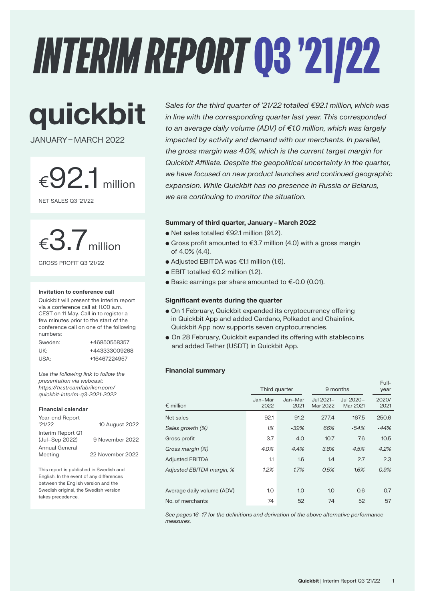# *INTERIM REPORT*Q3 '21/22

quickbit

JANUARY–MARCH 2022



NET SALES Q3 '21/22

# €3.7million

GROSS PROFIT Q3 '21/22

#### **Invitation to conference call**

Quickbit will present the interim report via a conference call at 11.00 a.m. CEST on 11 May. Call in to register a few minutes prior to the start of the conference call on one of the following numbers:

| Sweden: | +46850558357  |
|---------|---------------|
| UK:     | +443333009268 |
| USA:    | +16467224957  |

*Use the following link to follow the presentation via webcast: https://tv.streamfabriken.com/ quickbit-interim-q3-2021-2022*

### **Financial calendar**

| Year-end Report<br>'21/22           | 10 August 2022   |
|-------------------------------------|------------------|
| Interim Report Q1<br>(Jul-Sep 2022) | 9 November 2022  |
| Annual General<br>Meeting           | 22 November 2022 |

This report is published in Swedish and English. In the event of any differences between the English version and the Swedish original, the Swedish version takes precedence.

*Sales for the third quarter of '21/22 totalled €92.1 million, which was in line with the corresponding quarter last year. This corresponded to an average daily volume (ADV) of €1.0 million, which was largely impacted by activity and demand with our merchants. In parallel, the gross margin was 4.0%, which is the current target margin for Quickbit Affiliate. Despite the geopolitical uncertainty in the quarter, we have focused on new product launches and continued geographic expansion. While Quickbit has no presence in Russia or Belarus, we are continuing to monitor the situation.*

### **Summary of third quarter, January–March 2022**

- Net sales totalled €92.1 million (91.2).
- Gross profit amounted to €3.7 million (4.0) with a gross margin of 4.0% (4.4).
- Adjusted EBITDA was €1.1 million (1.6).
- EBIT totalled €0.2 million (1.2).
- Basic earnings per share amounted to €-0.0 (0.01).

### **Significant events during the quarter**

- On 1 February, Quickbit expanded its cryptocurrency offering in Quickbit App and added Cardano, Polkadot and Chainlink. Quickbit App now supports seven cryptocurrencies.
- On 28 February, Quickbit expanded its offering with stablecoins and added Tether (USDT) in Quickbit App.

### **Financial summary**

|                            | Third quarter   |                 | 9 months              | Full-<br>year         |               |
|----------------------------|-----------------|-----------------|-----------------------|-----------------------|---------------|
| $\epsilon$ million         | Jan-Mar<br>2022 | Jan-Mar<br>2021 | Jul 2021-<br>Mar 2022 | Jul 2020-<br>Mar 2021 | 2020/<br>2021 |
| Net sales                  | 92.1            | 91.2            | 277.4                 | 167.5                 | 250.6         |
| Sales growth (%)           | 1%              | $-39%$          | 66%                   | $-54%$                | $-44%$        |
| Gross profit               | 3.7             | 4.0             | 10.7                  | 7.6                   | 10.5          |
| Gross margin (%)           | 4.0%            | 4.4%            | 3.8%                  | 4.5%                  | 4.2%          |
| <b>Adjusted EBITDA</b>     | 1.1             | 1.6             | 1.4                   | 2.7                   | 2.3           |
| Adjusted EBITDA margin, %  | 1.2%            | 1.7%            | 0.5%                  | 1.6%                  | 0.9%          |
| Average daily volume (ADV) | 1.0             | 1.0             | 1.0                   | 0.6                   | 0.7           |
| No. of merchants           | 74              | 52              | 74                    | 52                    | 57            |

*See pages 16–17 for the definitions and derivation of the above alternative performance measures.*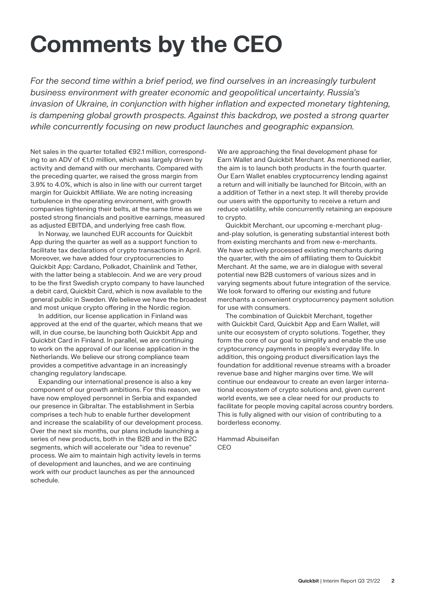# **Comments by the CEO**

*For the second time within a brief period, we find ourselves in an increasingly turbulent business environment with greater economic and geopolitical uncertainty. Russia's invasion of Ukraine, in conjunction with higher inflation and expected monetary tightening, is dampening global growth prospects. Against this backdrop, we posted a strong quarter while concurrently focusing on new product launches and geographic expansion.*

Net sales in the quarter totalled €92.1 million, corresponding to an ADV of €1.0 million, which was largely driven by activity and demand with our merchants. Compared with the preceding quarter, we raised the gross margin from 3.9% to 4.0%, which is also in line with our current target margin for Quickbit Affiliate. We are noting increasing turbulence in the operating environment, with growth companies tightening their belts, at the same time as we posted strong financials and positive earnings, measured as adjusted EBITDA, and underlying free cash flow.

In Norway, we launched EUR accounts for Quickbit App during the quarter as well as a support function to facilitate tax declarations of crypto transactions in April. Moreover, we have added four cryptocurrencies to Quickbit App: Cardano, Polkadot, Chainlink and Tether, with the latter being a stablecoin. And we are very proud to be the first Swedish crypto company to have launched a debit card, Quickbit Card, which is now available to the general public in Sweden. We believe we have the broadest and most unique crypto offering in the Nordic region.

In addition, our license application in Finland was approved at the end of the quarter, which means that we will, in due course, be launching both Quickbit App and Quickbit Card in Finland. In parallel, we are continuing to work on the approval of our license application in the Netherlands. We believe our strong compliance team provides a competitive advantage in an increasingly changing regulatory landscape.

Expanding our international presence is also a key component of our growth ambitions. For this reason, we have now employed personnel in Serbia and expanded our presence in Gibraltar. The establishment in Serbia comprises a tech hub to enable further development and increase the scalability of our development process. Over the next six months, our plans include launching a series of new products, both in the B2B and in the B2C segments, which will accelerate our "idea to revenue" process. We aim to maintain high activity levels in terms of development and launches, and we are continuing work with our product launches as per the announced schedule.

We are approaching the final development phase for Earn Wallet and Quickbit Merchant. As mentioned earlier, the aim is to launch both products in the fourth quarter. Our Earn Wallet enables cryptocurrency lending against a return and will initially be launched for Bitcoin, with an a addition of Tether in a next step. It will thereby provide our users with the opportunity to receive a return and reduce volatility, while concurrently retaining an exposure to crypto.

Quickbit Merchant, our upcoming e-merchant plugand-play solution, is generating substantial interest both from existing merchants and from new e-merchants. We have actively processed existing merchants during the quarter, with the aim of affiliating them to Quickbit Merchant. At the same, we are in dialogue with several potential new B2B customers of various sizes and in varying segments about future integration of the service. We look forward to offering our existing and future merchants a convenient cryptocurrency payment solution for use with consumers.

The combination of Quickbit Merchant, together with Quickbit Card, Quickbit App and Earn Wallet, will unite our ecosystem of crypto solutions. Together, they form the core of our goal to simplify and enable the use cryptocurrency payments in people's everyday life. In addition, this ongoing product diversification lays the foundation for additional revenue streams with a broader revenue base and higher margins over time. We will continue our endeavour to create an even larger international ecosystem of crypto solutions and, given current world events, we see a clear need for our products to facilitate for people moving capital across country borders. This is fully aligned with our vision of contributing to a borderless economy.

Hammad Abuiseifan CEO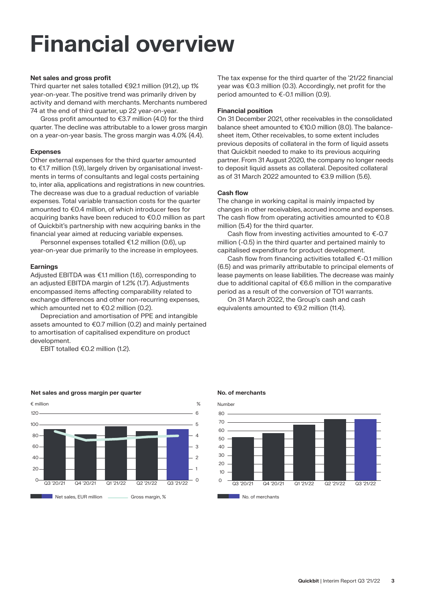# **Financial overview**

### **Net sales and gross profit**

Third quarter net sales totalled €92.1 million (91.2), up 1% year-on-year. The positive trend was primarily driven by activity and demand with merchants. Merchants numbered 74 at the end of third quarter, up 22 year-on-year.

Gross profit amounted to  $\epsilon$ 3.7 million (4.0) for the third quarter. The decline was attributable to a lower gross margin on a year-on-year basis. The gross margin was 4.0% (4.4).

### **Expenses**

Other external expenses for the third quarter amounted to €1.7 million (1.9), largely driven by organisational investments in terms of consultants and legal costs pertaining to, inter alia, applications and registrations in new countries. The decrease was due to a gradual reduction of variable expenses. Total variable transaction costs for the quarter amounted to €0.4 million, of which introducer fees for acquiring banks have been reduced to €0.0 million as part of Quickbit's partnership with new acquiring banks in the financial year aimed at reducing variable expenses.

Personnel expenses totalled €1.2 million (0.6), up year-on-year due primarily to the increase in employees.

#### **Earnings**

Adjusted EBITDA was €1.1 million (1.6), corresponding to an adjusted EBITDA margin of 1.2% (1.7). Adjustments encompassed items affecting comparability related to exchange differences and other non-recurring expenses, which amounted net to €0.2 million (0.2).

Depreciation and amortisation of PPE and intangible assets amounted to €0.7 million (0.2) and mainly pertained to amortisation of capitalised expenditure on product development.

EBIT totalled €0.2 million (1.2).



The tax expense for the third quarter of the '21/22 financial year was €0.3 million (0.3). Accordingly, net profit for the period amounted to €-0.1 million (0.9).

#### **Financial position**

On 31 December 2021, other receivables in the consolidated balance sheet amounted to €10.0 million (8.0). The balancesheet item, Other receivables, to some extent includes previous deposits of collateral in the form of liquid assets that Quickbit needed to make to its previous acquiring partner. From 31 August 2020, the company no longer needs to deposit liquid assets as collateral. Deposited collateral as of 31 March 2022 amounted to €3.9 million (5.6).

#### **Cash flow**

The change in working capital is mainly impacted by changes in other receivables, accrued income and expenses. The cash flow from operating activities amounted to  $€0.8$ million (5.4) for the third quarter.

Cash flow from investing activities amounted to  $\epsilon$ -0.7 million (-0.5) in the third quarter and pertained mainly to capitalised expenditure for product development.

Cash flow from financing activities totalled €-0.1 million (6.5) and was primarily attributable to principal elements of lease payments on lease liabilities. The decrease was mainly due to additional capital of €6.6 million in the comparative period as a result of the conversion of TO1 warrants.

On 31 March 2022, the Group's cash and cash equivalents amounted to €9.2 million (11.4).



#### Net sales and gross margin per quarter **No. of merchants**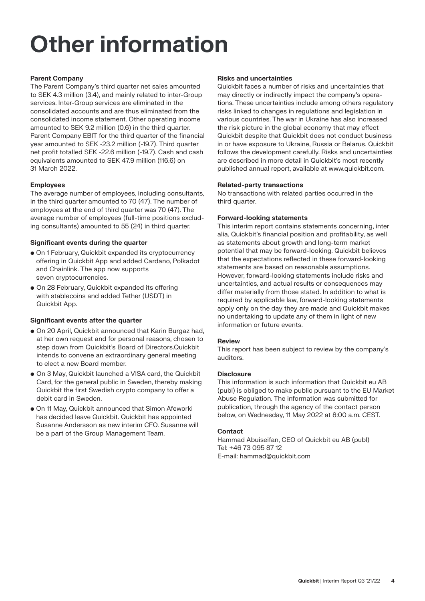# **Other information**

### **Parent Company**

The Parent Company's third quarter net sales amounted to SEK 4.3 million (3.4), and mainly related to inter-Group services. Inter-Group services are eliminated in the consolidated accounts and are thus eliminated from the consolidated income statement. Other operating income amounted to SEK 9.2 million (0.6) in the third quarter. Parent Company EBIT for the third quarter of the financial year amounted to SEK -23.2 million (-19.7). Third quarter net profit totalled SEK -22.6 million (-19.7). Cash and cash equivalents amounted to SEK 47.9 million (116.6) on 31 March 2022.

### **Employees**

The average number of employees, including consultants, in the third quarter amounted to 70 (47). The number of employees at the end of third quarter was 70 (47). The average number of employees (full-time positions excluding consultants) amounted to 55 (24) in third quarter.

### **Significant events during the quarter**

- On 1 February, Quickbit expanded its cryptocurrency offering in Quickbit App and added Cardano, Polkadot and Chainlink. The app now supports seven cryptocurrencies.
- On 28 February, Quickbit expanded its offering with stablecoins and added Tether (USDT) in Quickbit App.

### **Significant events after the quarter**

- On 20 April, Quickbit announced that Karin Burgaz had, at her own request and for personal reasons, chosen to step down from Quickbit's Board of Directors.Quickbit intends to convene an extraordinary general meeting to elect a new Board member.
- On 3 May, Quickbit launched a VISA card, the Quickbit Card, for the general public in Sweden, thereby making Quickbit the first Swedish crypto company to offer a debit card in Sweden.
- On 11 May, Quickbit announced that Simon Afeworki has decided leave Quickbit. Quickbit has appointed Susanne Andersson as new interim CFO. Susanne will be a part of the Group Management Team.

### **Risks and uncertainties**

Quickbit faces a number of risks and uncertainties that may directly or indirectly impact the company's operations. These uncertainties include among others regulatory risks linked to changes in regulations and legislation in various countries. The war in Ukraine has also increased the risk picture in the global economy that may effect Quickbit despite that Quickbit does not conduct business in or have exposure to Ukraine, Russia or Belarus. Quickbit follows the development carefully. Risks and uncertainties are described in more detail in Quickbit's most recently published annual report, available at www.quickbit.com.

### **Related-party transactions**

No transactions with related parties occurred in the third quarter.

### **Forward-looking statements**

This interim report contains statements concerning, inter alia, Quickbit's financial position and profitability, as well as statements about growth and long-term market potential that may be forward-looking. Quickbit believes that the expectations reflected in these forward-looking statements are based on reasonable assumptions. However, forward-looking statements include risks and uncertainties, and actual results or consequences may differ materially from those stated. In addition to what is required by applicable law, forward-looking statements apply only on the day they are made and Quickbit makes no undertaking to update any of them in light of new information or future events.

### **Review**

This report has been subject to review by the company's auditors.

### **Disclosure**

This information is such information that Quickbit eu AB (publ) is obliged to make public pursuant to the EU Market Abuse Regulation. The information was submitted for publication, through the agency of the contact person below, on Wednesday, 11 May 2022 at 8:00 a.m. CEST.

### **Contact**

Hammad Abuiseifan, CEO of Quickbit eu AB (publ) Tel: +46 73 095 87 12 E-mail: hammad@quickbit.com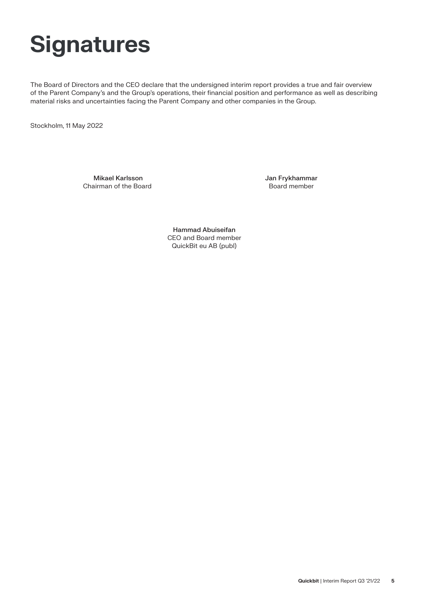# **Signatures**

The Board of Directors and the CEO declare that the undersigned interim report provides a true and fair overview of the Parent Company's and the Group's operations, their financial position and performance as well as describing material risks and uncertainties facing the Parent Company and other companies in the Group.

Stockholm, 11 May 2022

 Mikael Karlsson Chairman of the Board Jan Frykhammar Board member

Hammad Abuiseifan CEO and Board member QuickBit eu AB (publ)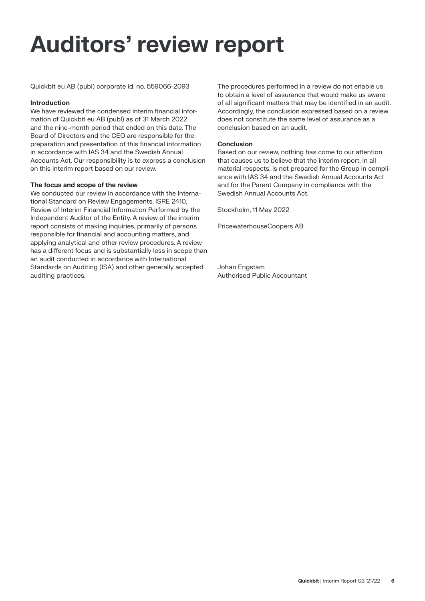# **Auditors' review report**

Quickbit eu AB (publ) corporate id. no. 559066-2093

### **Introduction**

We have reviewed the condensed interim financial information of Quickbit eu AB (publ) as of 31 March 2022 and the nine-month period that ended on this date. The Board of Directors and the CEO are responsible for the preparation and presentation of this financial information in accordance with IAS 34 and the Swedish Annual Accounts Act. Our responsibility is to express a conclusion on this interim report based on our review.

### **The focus and scope of the review**

We conducted our review in accordance with the International Standard on Review Engagements, ISRE 2410, Review of Interim Financial Information Performed by the Independent Auditor of the Entity. A review of the interim report consists of making inquiries, primarily of persons responsible for financial and accounting matters, and applying analytical and other review procedures. A review has a different focus and is substantially less in scope than an audit conducted in accordance with International Standards on Auditing (ISA) and other generally accepted auditing practices.

The procedures performed in a review do not enable us to obtain a level of assurance that would make us aware of all significant matters that may be identified in an audit. Accordingly, the conclusion expressed based on a review does not constitute the same level of assurance as a conclusion based on an audit.

### **Conclusion**

Based on our review, nothing has come to our attention that causes us to believe that the interim report, in all material respects, is not prepared for the Group in compliance with IAS 34 and the Swedish Annual Accounts Act and for the Parent Company in compliance with the Swedish Annual Accounts Act.

Stockholm, 11 May 2022

PricewaterhouseCoopers AB

Johan Engstam Authorised Public Accountant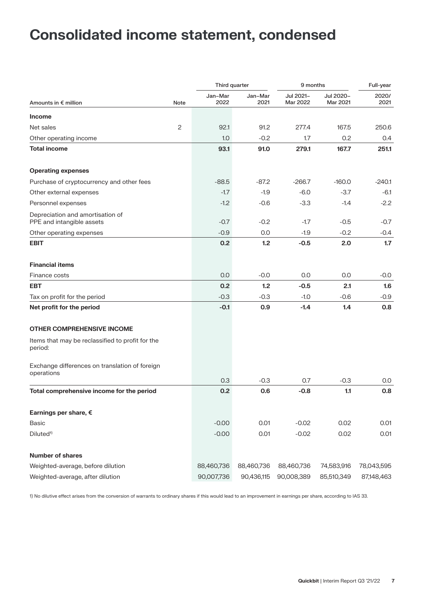### **Consolidated income statement, condensed**

|                                                               |                | Third quarter   |                 | 9 months              |                       | Full-year     |
|---------------------------------------------------------------|----------------|-----------------|-----------------|-----------------------|-----------------------|---------------|
| Amounts in € million                                          | Note           | Jan-Mar<br>2022 | Jan-Mar<br>2021 | Jul 2021-<br>Mar 2022 | Jul 2020-<br>Mar 2021 | 2020/<br>2021 |
| <b>Income</b>                                                 |                |                 |                 |                       |                       |               |
| Net sales                                                     | $\overline{c}$ | 92.1            | 91.2            | 277.4                 | 167.5                 | 250.6         |
| Other operating income                                        |                | 1.0             | $-0.2$          | 1.7                   | 0.2                   | 0.4           |
| <b>Total income</b>                                           |                | 93.1            | 91.0            | 279.1                 | 167.7                 | 251.1         |
| <b>Operating expenses</b>                                     |                |                 |                 |                       |                       |               |
| Purchase of cryptocurrency and other fees                     |                | $-88.5$         | $-87.2$         | $-266.7$              | $-160.0$              | $-240.1$      |
| Other external expenses                                       |                | $-1.7$          | $-1.9$          | $-6.0$                | $-3.7$                | $-6.1$        |
| Personnel expenses                                            |                | $-1.2$          | $-0.6$          | $-3.3$                | $-1.4$                | $-2.2$        |
| Depreciation and amortisation of<br>PPE and intangible assets |                | $-0.7$          | $-0.2$          | $-1.7$                | $-0.5$                | $-0.7$        |
| Other operating expenses                                      |                | $-0.9$          | 0.0             | $-1.9$                | $-0.2$                | $-0.4$        |
| <b>EBIT</b>                                                   |                | 0.2             | 1.2             | $-0.5$                | 2.0                   | 1.7           |
| <b>Financial items</b>                                        |                |                 |                 |                       |                       |               |
| Finance costs                                                 |                | 0.0             | $-0.0$          | 0.0                   | 0.0                   | $-0.0$        |
| <b>EBT</b>                                                    |                | 0.2             | 1.2             | $-0.5$                | 2.1                   | 1.6           |
| Tax on profit for the period                                  |                | $-0.3$          | $-0.3$          | $-1.0$                | $-0.6$                | $-0.9$        |
| Net profit for the period                                     |                | $-0.1$          | 0.9             | $-1.4$                | 1.4                   | 0.8           |
| <b>OTHER COMPREHENSIVE INCOME</b>                             |                |                 |                 |                       |                       |               |
| Items that may be reclassified to profit for the<br>period:   |                |                 |                 |                       |                       |               |
| Exchange differences on translation of foreign                |                |                 |                 |                       |                       |               |
| operations                                                    |                | 0.3             | $-0.3$          | 0.7                   | $-0.3$                | 0.0           |
| Total comprehensive income for the period                     |                | 0.2             | 0.6             | $-0.8$                | 1.1                   | 0.8           |
| Earnings per share, €                                         |                |                 |                 |                       |                       |               |
| <b>Basic</b>                                                  |                | $-0.00$         | 0.01            | $-0.02$               | 0.02                  | 0.01          |
| Diluted <sup>1)</sup>                                         |                | $-0.00$         | 0.01            | $-0.02$               | 0.02                  | 0.01          |
| <b>Number of shares</b>                                       |                |                 |                 |                       |                       |               |
| Weighted-average, before dilution                             |                | 88,460,736      | 88,460,736      | 88,460,736            | 74,583,916            | 78,043,595    |
| Weighted-average, after dilution                              |                | 90,007,736      | 90,436,115      | 90,008,389            | 85,510,349            | 87,148,463    |

1) No dilutive effect arises from the conversion of warrants to ordinary shares if this would lead to an improvement in earnings per share, according to IAS 33.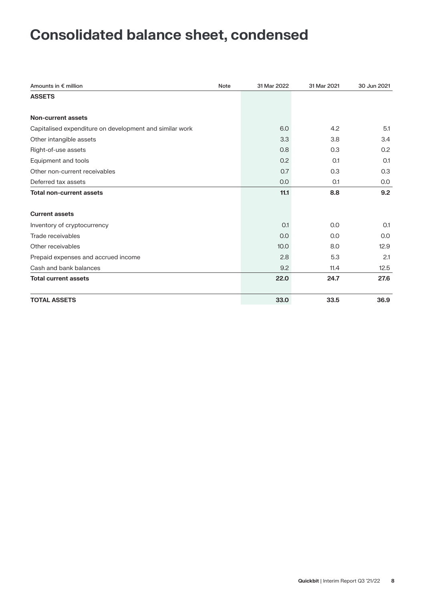### **Consolidated balance sheet, condensed**

| Amounts in € million<br><b>Note</b>                     | 31 Mar 2022 | 31 Mar 2021 | 30 Jun 2021 |
|---------------------------------------------------------|-------------|-------------|-------------|
| <b>ASSETS</b>                                           |             |             |             |
|                                                         |             |             |             |
| <b>Non-current assets</b>                               |             |             |             |
| Capitalised expenditure on development and similar work | 6.0         | 4.2         | 5.1         |
| Other intangible assets                                 | 3.3         | 3.8         | 3.4         |
| Right-of-use assets                                     | 0.8         | 0.3         | 0.2         |
| Equipment and tools                                     | 0.2         | 0.1         | O.1         |
| Other non-current receivables                           | 0.7         | 0.3         | 0.3         |
| Deferred tax assets                                     | 0.0         | O.1         | 0.0         |
| <b>Total non-current assets</b>                         | 11.1        | 8.8         | 9.2         |
| <b>Current assets</b>                                   |             |             |             |
| Inventory of cryptocurrency                             | O.1         | 0.0         | O.1         |
| Trade receivables                                       | 0.0         | 0.0         | 0.0         |
| Other receivables                                       | 10.0        | 8.0         | 12.9        |
| Prepaid expenses and accrued income                     | 2.8         | 5.3         | 2.1         |
| Cash and bank balances                                  | 9.2         | 11.4        | 12.5        |
| <b>Total current assets</b>                             | 22.0        | 24.7        | 27.6        |
| <b>TOTAL ASSETS</b>                                     | 33.0        | 33.5        | 36.9        |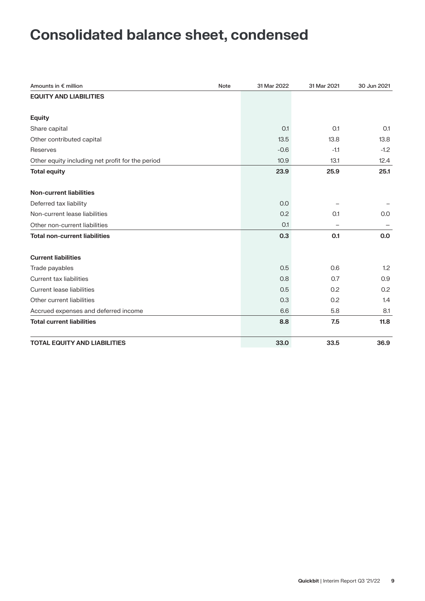### **Consolidated balance sheet, condensed**

| Amounts in € million                             | Note<br>31 Mar 2022 | 31 Mar 2021      | 30 Jun 2021 |
|--------------------------------------------------|---------------------|------------------|-------------|
| <b>EQUITY AND LIABILITIES</b>                    |                     |                  |             |
|                                                  |                     |                  |             |
| <b>Equity</b>                                    |                     |                  |             |
| Share capital                                    |                     | O.1<br>O.1       | O.1         |
| Other contributed capital                        |                     | 13.5<br>13.8     | 13.8        |
| Reserves                                         |                     | $-0.6$<br>$-1.1$ | $-1.2$      |
| Other equity including net profit for the period |                     | 10.9<br>13.1     | 12.4        |
| <b>Total equity</b>                              |                     | 23.9<br>25.9     | 25.1        |
| <b>Non-current liabilities</b>                   |                     |                  |             |
| Deferred tax liability                           |                     | 0.0              |             |
| Non-current lease liabilities                    |                     | 0.2<br>0.1       | 0.0         |
| Other non-current liabilities                    |                     | 0.1<br>-         |             |
| <b>Total non-current liabilities</b>             |                     | 0.3<br>0.1       | 0.0         |
| <b>Current liabilities</b>                       |                     |                  |             |
| Trade payables                                   |                     | 0.5<br>0.6       | 1.2         |
| <b>Current tax liabilities</b>                   |                     | 0.8<br>0.7       | 0.9         |
| <b>Current lease liabilities</b>                 |                     | 0.2<br>0.5       | 0.2         |
| Other current liabilities                        |                     | 0.2<br>0.3       | 1.4         |
| Accrued expenses and deferred income             |                     | 6.6<br>5.8       | 8.1         |
| <b>Total current liabilities</b>                 |                     | 8.8<br>7.5       | 11.8        |
| <b>TOTAL EQUITY AND LIABILITIES</b>              | 33.0                | 33.5             | 36.9        |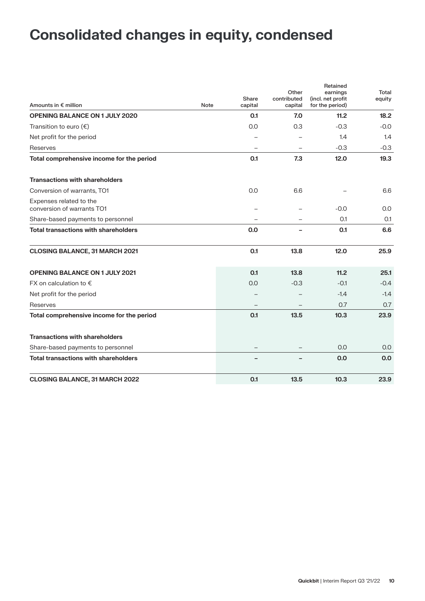# **Consolidated changes in equity, condensed**

| Amounts in € million                                  | <b>Note</b> | Share<br>capital | Other<br>contributed<br>capital | Retained<br>earnings<br>(incl. net profit<br>for the period) | Total<br>equity |
|-------------------------------------------------------|-------------|------------------|---------------------------------|--------------------------------------------------------------|-----------------|
| <b>OPENING BALANCE ON 1 JULY 2020</b>                 |             | 0.1              | 7.0                             | 11.2                                                         | 18.2            |
| Transition to euro $(\epsilon)$                       |             | 0.0              | 0.3                             | $-0.3$                                                       | $-0.0$          |
| Net profit for the period                             |             |                  |                                 | 1.4                                                          | 1.4             |
| Reserves                                              |             |                  |                                 | $-0.3$                                                       | $-0.3$          |
| Total comprehensive income for the period             |             | 0.1              | 7.3                             | 12.0                                                         | 19.3            |
| <b>Transactions with shareholders</b>                 |             |                  |                                 |                                                              |                 |
| Conversion of warrants, TO1                           |             | 0.0              | 6.6                             |                                                              | 6.6             |
| Expenses related to the<br>conversion of warrants TO1 |             |                  |                                 | $-0.0$                                                       | 0.0             |
| Share-based payments to personnel                     |             |                  |                                 | O.1                                                          | 0.1             |
| <b>Total transactions with shareholders</b>           |             | 0.0              |                                 | 0.1                                                          | 6.6             |
| <b>CLOSING BALANCE, 31 MARCH 2021</b>                 |             | 0.1              | 13.8                            | 12.0                                                         | 25.9            |
| <b>OPENING BALANCE ON 1 JULY 2021</b>                 |             | O.1              | 13.8                            | 11.2                                                         | 25.1            |
| FX on calculation to $\epsilon$                       |             | 0.0              | $-0.3$                          | $-0.1$                                                       | $-0.4$          |
| Net profit for the period                             |             |                  |                                 | $-1.4$                                                       | $-1.4$          |
| Reserves                                              |             |                  |                                 | 0.7                                                          | 0.7             |
| Total comprehensive income for the period             |             | 0.1              | 13.5                            | 10.3                                                         | 23.9            |
| <b>Transactions with shareholders</b>                 |             |                  |                                 |                                                              |                 |
| Share-based payments to personnel                     |             |                  |                                 | 0.0                                                          | 0.0             |
| <b>Total transactions with shareholders</b>           |             |                  |                                 | 0.0                                                          | 0.0             |
| <b>CLOSING BALANCE, 31 MARCH 2022</b>                 |             | 0.1              | 13.5                            | 10.3                                                         | 23.9            |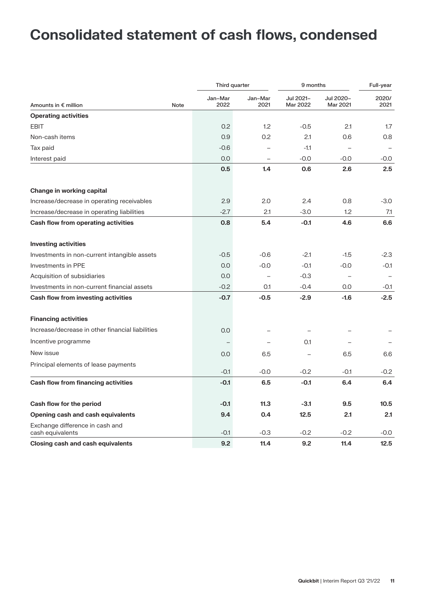# **Consolidated statement of cash flows, condensed**

|                                                     |             | Third quarter    |                          | 9 months              |                          | Full-year     |
|-----------------------------------------------------|-------------|------------------|--------------------------|-----------------------|--------------------------|---------------|
| Amounts in € million                                | <b>Note</b> | Jan-Mar<br>2022  | Jan-Mar<br>2021          | Jul 2021-<br>Mar 2022 | Jul 2020-<br>Mar 2021    | 2020/<br>2021 |
| <b>Operating activities</b>                         |             |                  |                          |                       |                          |               |
| <b>EBIT</b>                                         |             | 0.2              | 1.2                      | $-0.5$                | 2.1                      | 1.7           |
| Non-cash items                                      |             | 0.9              | 0.2                      | 2.1                   | 0.6                      | 0.8           |
| Tax paid                                            |             | $-0.6$           | -                        | -1.1                  |                          |               |
| Interest paid                                       |             | 0.0              | $\overline{\phantom{0}}$ | $-0.0$                | -0.0                     | $-0.0$        |
|                                                     |             | 0.5              | 1.4                      | 0.6                   | 2.6                      | 2.5           |
| Change in working capital                           |             |                  |                          |                       |                          |               |
| Increase/decrease in operating receivables          |             | 2.9              | 2.0                      | 2.4                   | 0.8                      | $-3.0$        |
| Increase/decrease in operating liabilities          |             | $-2.7$           | 2.1                      | $-3.0$                | 1.2                      | 7.1           |
| Cash flow from operating activities                 |             | 0.8              | 5.4                      | $-0.1$                | 4.6                      | 6.6           |
| <b>Investing activities</b>                         |             |                  |                          |                       |                          |               |
| Investments in non-current intangible assets        |             | $-0.5$           | $-0.6$                   | $-2.1$                | $-1.5$                   | $-2.3$        |
| Investments in PPE                                  |             | 0.0              | $-0.0$                   | $-0.1$                | -0.0                     | $-0.1$        |
| Acquisition of subsidiaries                         |             | 0.0              | $\qquad \qquad -$        | $-0.3$                | $\overline{\phantom{0}}$ |               |
| Investments in non-current financial assets         |             | $-0.2$           | O.1                      | $-0.4$                | 0.0                      | $-0.1$        |
| Cash flow from investing activities                 |             | $-0.7$           | $-0.5$                   | $-2.9$                | $-1.6$                   | $-2.5$        |
| <b>Financing activities</b>                         |             |                  |                          |                       |                          |               |
| Increase/decrease in other financial liabilities    |             | 0.0              |                          |                       |                          |               |
| Incentive programme                                 |             |                  |                          | 0.1                   |                          |               |
| New issue                                           |             | 0.0              | 6.5                      |                       | 6.5                      | 6.6           |
| Principal elements of lease payments                |             |                  |                          |                       |                          |               |
| Cash flow from financing activities                 |             | $-0.1$<br>$-0.1$ | $-0.0$<br>6.5            | $-0.2$<br>$-0.1$      | $-0.1$<br>6.4            | $-0.2$<br>6.4 |
|                                                     |             |                  |                          |                       |                          |               |
| Cash flow for the period                            |             | $-0.1$           | 11.3                     | $-3.1$                | 9.5                      | 10.5          |
| Opening cash and cash equivalents                   |             | 9.4              | 0.4                      | 12.5                  | 2.1                      | 2.1           |
| Exchange difference in cash and<br>cash equivalents |             | -0.1             | $-0.3$                   | $-0.2$                | $-0.2$                   | $-0.0$        |
| Closing cash and cash equivalents                   |             | 9.2              | 11.4                     | 9.2                   | 11.4                     | 12.5          |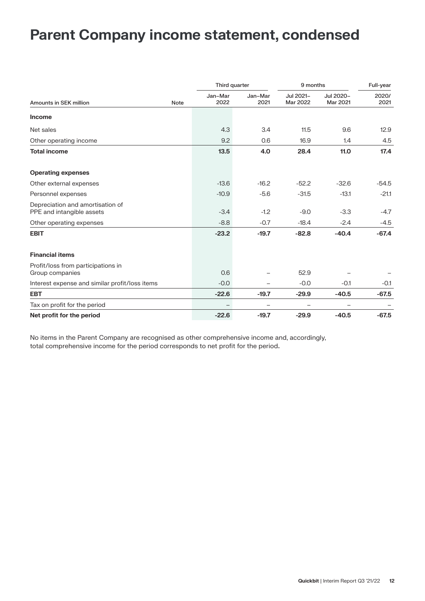### **Parent Company income statement, condensed**

|                                                               |             | Third quarter   |                 | 9 months              | Full-year             |               |
|---------------------------------------------------------------|-------------|-----------------|-----------------|-----------------------|-----------------------|---------------|
| <b>Amounts in SEK million</b>                                 | <b>Note</b> | Jan-Mar<br>2022 | Jan-Mar<br>2021 | Jul 2021-<br>Mar 2022 | Jul 2020-<br>Mar 2021 | 2020/<br>2021 |
| <b>Income</b>                                                 |             |                 |                 |                       |                       |               |
| Net sales                                                     |             | 4.3             | 3.4             | 11.5                  | 9.6                   | 12.9          |
| Other operating income                                        |             | 9.2             | 0.6             | 16.9                  | 1.4                   | 4.5           |
| <b>Total income</b>                                           |             | 13.5            | 4.0             | 28.4                  | 11.0                  | 17.4          |
| <b>Operating expenses</b>                                     |             |                 |                 |                       |                       |               |
| Other external expenses                                       |             | $-13.6$         | $-16.2$         | $-52.2$               | $-32.6$               | $-54.5$       |
| Personnel expenses                                            |             | $-10.9$         | $-5.6$          | $-31.5$               | $-13.1$               | $-21.1$       |
| Depreciation and amortisation of<br>PPE and intangible assets |             | $-3.4$          | $-1.2$          | $-9.0$                | $-3.3$                | $-4.7$        |
| Other operating expenses                                      |             | $-8.8$          | $-0.7$          | $-18.4$               | $-2.4$                | $-4.5$        |
| <b>EBIT</b>                                                   |             | $-23.2$         | $-19.7$         | $-82.8$               | $-40.4$               | $-67.4$       |
| <b>Financial items</b>                                        |             |                 |                 |                       |                       |               |
| Profit/loss from participations in<br>Group companies         |             | 0.6             |                 | 52.9                  |                       |               |
| Interest expense and similar profit/loss items                |             | $-0.0$          |                 | $-0.0$                | $-0.1$                | $-0.1$        |
| <b>EBT</b>                                                    |             | $-22.6$         | $-19.7$         | $-29.9$               | $-40.5$               | $-67.5$       |
| Tax on profit for the period                                  |             |                 |                 |                       |                       |               |
| Net profit for the period                                     |             | $-22.6$         | $-19.7$         | $-29.9$               | $-40.5$               | $-67.5$       |

No items in the Parent Company are recognised as other comprehensive income and, accordingly, total comprehensive income for the period corresponds to net profit for the period**.**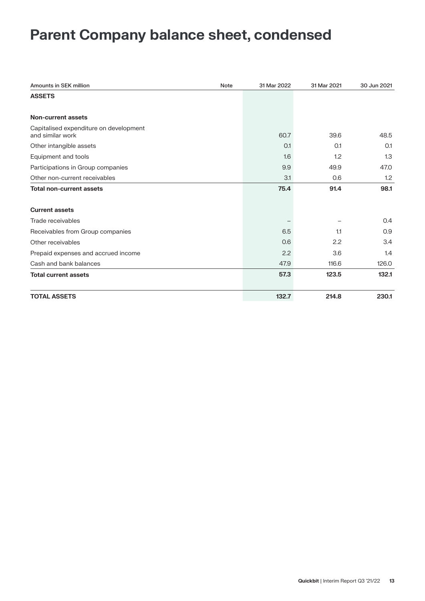# **Parent Company balance sheet, condensed**

| <b>Amounts in SEK million</b>                              | Note | 31 Mar 2022 | 31 Mar 2021 | 30 Jun 2021 |
|------------------------------------------------------------|------|-------------|-------------|-------------|
| <b>ASSETS</b>                                              |      |             |             |             |
| Non-current assets                                         |      |             |             |             |
| Capitalised expenditure on development<br>and similar work |      | 60.7        | 39.6        | 48.5        |
| Other intangible assets                                    |      | 0.1         | O.1         | O.1         |
| Equipment and tools                                        |      | 1.6         | 1.2         | 1.3         |
| Participations in Group companies                          |      | 9.9         | 49.9        | 47.0        |
| Other non-current receivables                              |      | 3.1         | 0.6         | 1.2         |
| <b>Total non-current assets</b>                            |      | 75.4        | 91.4        | 98.1        |
| <b>Current assets</b>                                      |      |             |             |             |
| Trade receivables                                          |      |             |             | 0.4         |
| Receivables from Group companies                           |      | 6.5         | 1.1         | 0.9         |
| Other receivables                                          |      | 0.6         | 2.2         | 3.4         |
| Prepaid expenses and accrued income                        |      | 2.2         | 3.6         | 1.4         |
| Cash and bank balances                                     |      | 47.9        | 116.6       | 126.0       |
| <b>Total current assets</b>                                |      | 57.3        | 123.5       | 132.1       |
| <b>TOTAL ASSETS</b>                                        |      | 132.7       | 214.8       | 230.1       |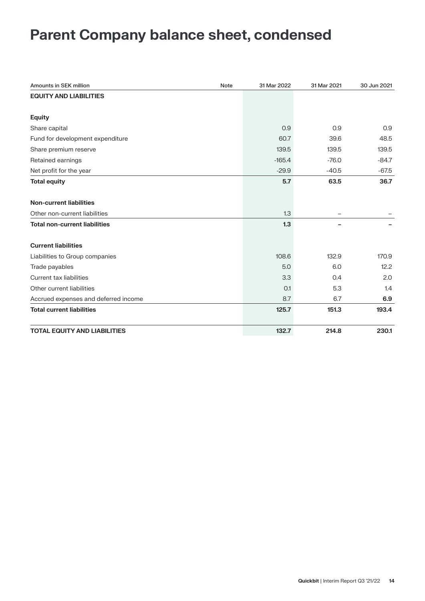# **Parent Company balance sheet, condensed**

| Amounts in SEK million               | Note | 31 Mar 2022 | 31 Mar 2021 | 30 Jun 2021 |
|--------------------------------------|------|-------------|-------------|-------------|
| <b>EQUITY AND LIABILITIES</b>        |      |             |             |             |
|                                      |      |             |             |             |
| <b>Equity</b>                        |      |             |             |             |
| Share capital                        |      | 0.9         | 0.9         | 0.9         |
| Fund for development expenditure     |      | 60.7        | 39.6        | 48.5        |
| Share premium reserve                |      | 139.5       | 139.5       | 139.5       |
| Retained earnings                    |      | $-165.4$    | $-76.0$     | $-84.7$     |
| Net profit for the year              |      | $-29.9$     | $-40.5$     | $-67.5$     |
| <b>Total equity</b>                  |      | 5.7         | 63.5        | 36.7        |
|                                      |      |             |             |             |
| <b>Non-current liabilities</b>       |      |             |             |             |
| Other non-current liabilities        |      | 1.3         |             |             |
| <b>Total non-current liabilities</b> |      | 1.3         |             |             |
| <b>Current liabilities</b>           |      |             |             |             |
| Liabilities to Group companies       |      | 108.6       | 132.9       | 170.9       |
| Trade payables                       |      | 5.0         | 6.0         | 12.2        |
| Current tax liabilities              |      | 3.3         | 0.4         | 2.0         |
| Other current liabilities            |      | O.1         | 5.3         | 1.4         |
| Accrued expenses and deferred income |      | 8.7         | 6.7         | 6.9         |
| <b>Total current liabilities</b>     |      | 125.7       | 151.3       | 193.4       |
| <b>TOTAL EQUITY AND LIABILITIES</b>  |      | 132.7       | 214.8       | 230.1       |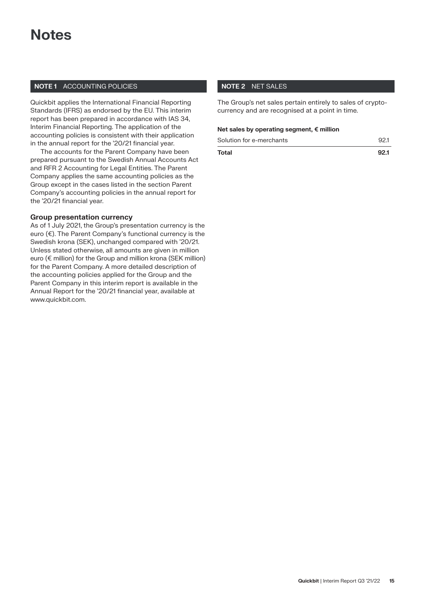### **Notes**

### **NOTE 1** ACCOUNTING POLICIES

Quickbit applies the International Financial Reporting Standards (IFRS) as endorsed by the EU. This interim report has been prepared in accordance with IAS 34, Interim Financial Reporting. The application of the accounting policies is consistent with their application in the annual report for the '20/21 financial year.

The accounts for the Parent Company have been prepared pursuant to the Swedish Annual Accounts Act and RFR 2 Accounting for Legal Entities. The Parent Company applies the same accounting policies as the Group except in the cases listed in the section Parent Company's accounting policies in the annual report for the '20/21 financial year.

### **Group presentation currency**

As of 1 July 2021, the Group's presentation currency is the euro (€). The Parent Company's functional currency is the Swedish krona (SEK), unchanged compared with '20/21. Unless stated otherwise, all amounts are given in million euro (€ million) for the Group and million krona (SEK million) for the Parent Company. A more detailed description of the accounting policies applied for the Group and the Parent Company in this interim report is available in the Annual Report for the '20/21 financial year, available at www.quickbit.com.

### **NOTE 2** NET SALES

The Group's net sales pertain entirely to sales of cryptocurrency and are recognised at a point in time.

### **Net sales by operating segment, € million**

| Solution for e-merchants |      |
|--------------------------|------|
| Total                    | - Q2 |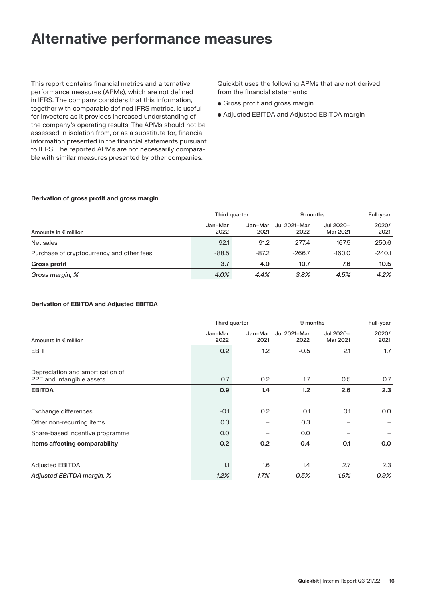### **Alternative performance measures**

This report contains financial metrics and alternative performance measures (APMs), which are not defined in IFRS. The company considers that this information, together with comparable defined IFRS metrics, is useful for investors as it provides increased understanding of the company's operating results. The APMs should not be assessed in isolation from, or as a substitute for, financial information presented in the financial statements pursuant to IFRS. The reported APMs are not necessarily comparable with similar measures presented by other companies.

Quickbit uses the following APMs that are not derived from the financial statements:

- Gross profit and gross margin
- Adjusted EBITDA and Adjusted EBITDA margin

### **Derivation of gross profit and gross margin**

|                                           | Third quarter   |                 | 9 months             |                       | Full-year     |
|-------------------------------------------|-----------------|-----------------|----------------------|-----------------------|---------------|
| Amounts in $\epsilon$ million             | Jan-Mar<br>2022 | Jan–Mar<br>2021 | Jul 2021-Mar<br>2022 | Jul 2020-<br>Mar 2021 | 2020/<br>2021 |
| Net sales                                 | 92.1            | 91.2            | 277.4                | 167.5                 | 250.6         |
| Purchase of cryptocurrency and other fees | $-88.5$         | $-87.2$         | $-266.7$             | $-160.0$              | $-240.1$      |
| <b>Gross profit</b>                       | 3.7             | 4.0             | 10.7                 | 7.6                   | 10.5          |
| Gross margin, %                           | 4.0%            | 4.4%            | 3.8%                 | 4.5%                  | 4.2%          |

### **Derivation of EBITDA and Adjusted EBITDA**

|                                                               |                 | Third quarter   |                             | 9 months              |               |
|---------------------------------------------------------------|-----------------|-----------------|-----------------------------|-----------------------|---------------|
| Amounts in $\epsilon$ million                                 | Jan-Mar<br>2022 | Jan-Mar<br>2021 | <b>Jul 2021-Mar</b><br>2022 | Jul 2020-<br>Mar 2021 | 2020/<br>2021 |
| <b>EBIT</b>                                                   | 0.2             | 1.2             | $-0.5$                      | 2.1                   | 1.7           |
| Depreciation and amortisation of<br>PPE and intangible assets | 0.7             | 0.2             | 1.7                         | 0.5                   | 0.7           |
| <b>EBITDA</b>                                                 | 0.9             | 1.4             | 1.2                         | 2.6                   | 2.3           |
| Exchange differences                                          | $-0.1$          | 0.2             | O.1                         | 0.1                   | 0.0           |
| Other non-recurring items                                     | 0.3             |                 | 0.3                         |                       |               |
| Share-based incentive programme                               | 0.0             |                 | 0.0                         |                       |               |
| Items affecting comparability                                 | 0.2             | 0.2             | 0.4                         | 0.1                   | 0.0           |
| <b>Adjusted EBITDA</b>                                        | 1.1             | 1.6             | 1.4                         | 2.7                   | 2.3           |
| Adjusted EBITDA margin, %                                     | 1.2%            | 1.7%            | 0.5%                        | 1.6%                  | 0.9%          |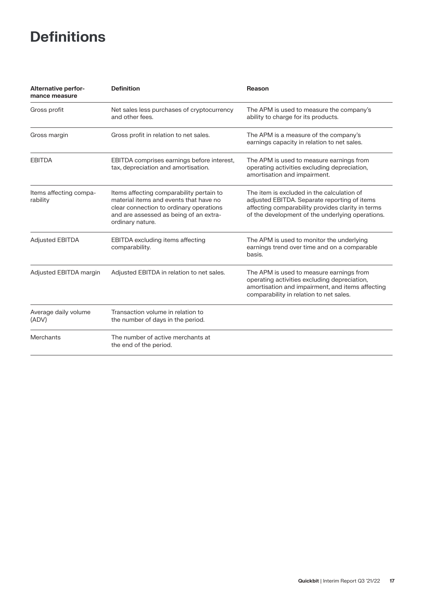## **Definitions**

| <b>Alternative perfor-</b><br>mance measure | <b>Definition</b>                                                                                                                                                                           | Reason                                                                                                                                                                                              |
|---------------------------------------------|---------------------------------------------------------------------------------------------------------------------------------------------------------------------------------------------|-----------------------------------------------------------------------------------------------------------------------------------------------------------------------------------------------------|
| Gross profit                                | Net sales less purchases of cryptocurrency<br>and other fees.                                                                                                                               | The APM is used to measure the company's<br>ability to charge for its products.                                                                                                                     |
| Gross margin                                | Gross profit in relation to net sales.                                                                                                                                                      | The APM is a measure of the company's<br>earnings capacity in relation to net sales.                                                                                                                |
| <b>EBITDA</b>                               | EBITDA comprises earnings before interest,<br>tax, depreciation and amortisation.                                                                                                           | The APM is used to measure earnings from<br>operating activities excluding depreciation,<br>amortisation and impairment.                                                                            |
| Items affecting compa-<br>rability          | Items affecting comparability pertain to<br>material items and events that have no<br>clear connection to ordinary operations<br>and are assessed as being of an extra-<br>ordinary nature. | The item is excluded in the calculation of<br>adjusted EBITDA. Separate reporting of items<br>affecting comparability provides clarity in terms<br>of the development of the underlying operations. |
| <b>Adjusted EBITDA</b>                      | EBITDA excluding items affecting<br>comparability.                                                                                                                                          | The APM is used to monitor the underlying<br>earnings trend over time and on a comparable<br>basis.                                                                                                 |
| Adjusted EBITDA margin                      | Adjusted EBITDA in relation to net sales.                                                                                                                                                   | The APM is used to measure earnings from<br>operating activities excluding depreciation,<br>amortisation and impairment, and items affecting<br>comparability in relation to net sales.             |
| Average daily volume<br>(ADV)               | Transaction volume in relation to<br>the number of days in the period.                                                                                                                      |                                                                                                                                                                                                     |
| Merchants                                   | The number of active merchants at<br>the end of the period.                                                                                                                                 |                                                                                                                                                                                                     |